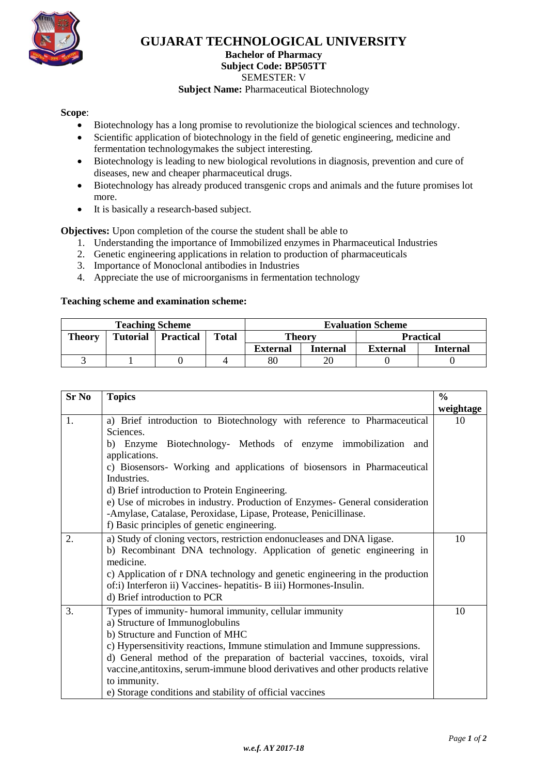

## **GUJARAT TECHNOLOGICAL UNIVERSITY**

## **Bachelor of Pharmacy Subject Code: BP505TT**

#### SEMESTER: V

### **Subject Name: Pharmaceutical Biotechnology**

#### **Scope**:

- Biotechnology has a long promise to revolutionize the biological sciences and technology.
- Scientific application of biotechnology in the field of genetic engineering, medicine and fermentation technologymakes the subject interesting.
- Biotechnology is leading to new biological revolutions in diagnosis, prevention and cure of diseases, new and cheaper pharmaceutical drugs.
- Biotechnology has already produced transgenic crops and animals and the future promises lot more.
- It is basically a research-based subject.

**Objectives:** Upon completion of the course the student shall be able to

- 1. Understanding the importance of Immobilized enzymes in Pharmaceutical Industries
- 2. Genetic engineering applications in relation to production of pharmaceuticals
- 3. Importance of Monoclonal antibodies in Industries
- 4. Appreciate the use of microorganisms in fermentation technology

#### **Teaching scheme and examination scheme:**

| <b>Teaching Scheme</b> |                 |                  |              | <b>Evaluation Scheme</b> |          |                 |                  |
|------------------------|-----------------|------------------|--------------|--------------------------|----------|-----------------|------------------|
| <b>Theory</b>          | <b>Tutorial</b> | <b>Practical</b> | <b>Total</b> | <b>Theory</b>            |          |                 | <b>Practical</b> |
|                        |                 |                  |              | <b>External</b>          | Internal | <b>External</b> | Internal         |
|                        |                 |                  |              | 80                       |          |                 |                  |

| <b>Sr No</b> | <b>Topics</b>                                                                   |           |  |  |  |
|--------------|---------------------------------------------------------------------------------|-----------|--|--|--|
|              |                                                                                 | weightage |  |  |  |
| 1.           | a) Brief introduction to Biotechnology with reference to Pharmaceutical         | 10        |  |  |  |
|              | Sciences.                                                                       |           |  |  |  |
|              | b) Enzyme<br>Biotechnology- Methods of enzyme immobilization and                |           |  |  |  |
|              | applications.                                                                   |           |  |  |  |
|              | c) Biosensors- Working and applications of biosensors in Pharmaceutical         |           |  |  |  |
|              | Industries.                                                                     |           |  |  |  |
|              | d) Brief introduction to Protein Engineering.                                   |           |  |  |  |
|              | e) Use of microbes in industry. Production of Enzymes- General consideration    |           |  |  |  |
|              | -Amylase, Catalase, Peroxidase, Lipase, Protease, Penicillinase.                |           |  |  |  |
|              | f) Basic principles of genetic engineering.                                     |           |  |  |  |
| 2.           | a) Study of cloning vectors, restriction endonucleases and DNA ligase.          | 10        |  |  |  |
|              | b) Recombinant DNA technology. Application of genetic engineering in            |           |  |  |  |
|              | medicine.                                                                       |           |  |  |  |
|              | c) Application of r DNA technology and genetic engineering in the production    |           |  |  |  |
|              | of:i) Interferon ii) Vaccines- hepatitis- B iii) Hormones-Insulin.              |           |  |  |  |
|              | d) Brief introduction to PCR                                                    |           |  |  |  |
| 3.           | Types of immunity-humoral immunity, cellular immunity                           | 10        |  |  |  |
|              | a) Structure of Immunoglobulins                                                 |           |  |  |  |
|              | b) Structure and Function of MHC                                                |           |  |  |  |
|              | c) Hypersensitivity reactions, Immune stimulation and Immune suppressions.      |           |  |  |  |
|              | d) General method of the preparation of bacterial vaccines, toxoids, viral      |           |  |  |  |
|              | vaccine, antitoxins, serum-immune blood derivatives and other products relative |           |  |  |  |
|              | to immunity.                                                                    |           |  |  |  |
|              | e) Storage conditions and stability of official vaccines                        |           |  |  |  |